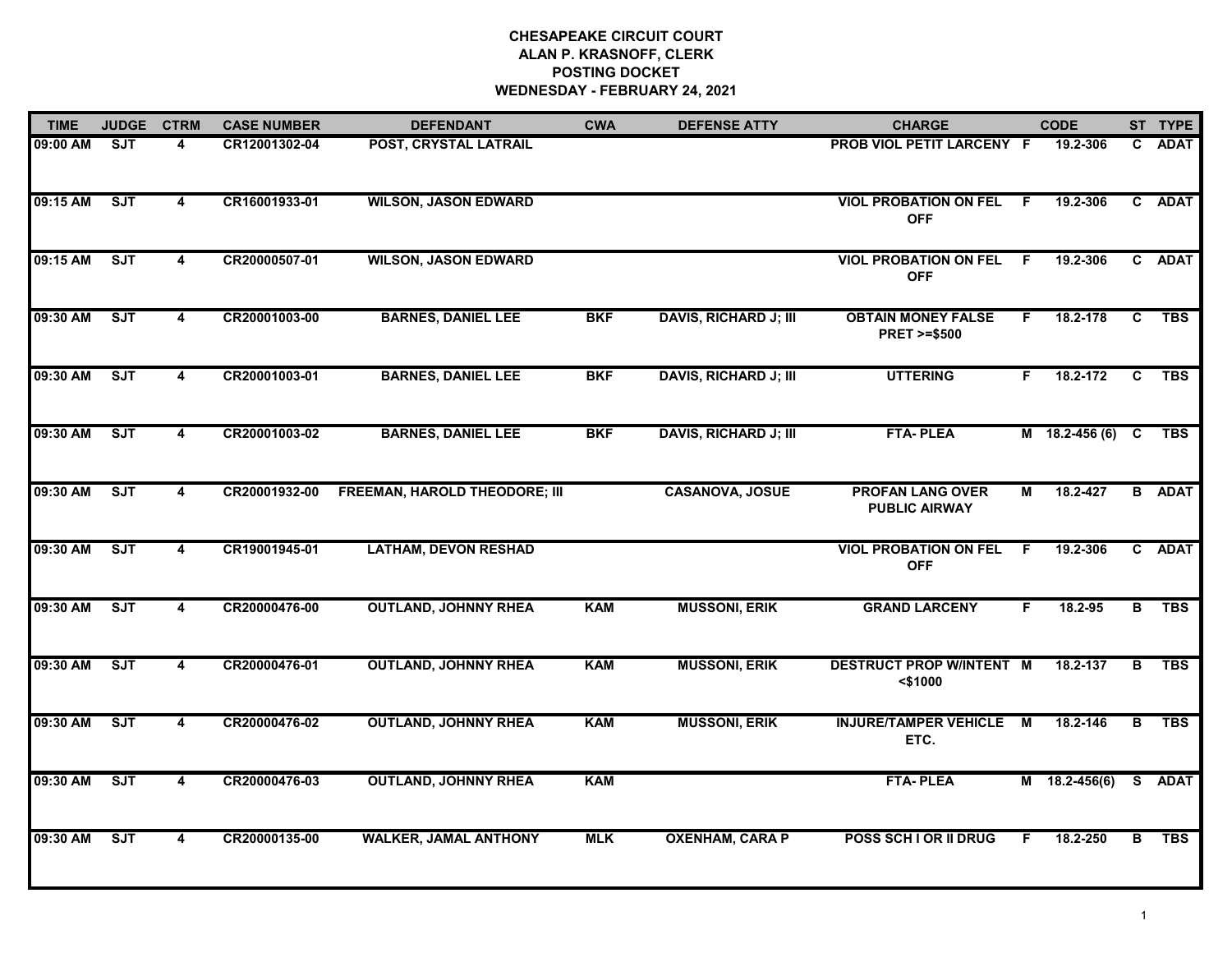# **CHESAPEAKE CIRCUIT COURT ALAN P. KRASNOFF, CLERK POSTING DOCKETWEDNESDAY - FEBRUARY 24, 2021**

| <b>TIME</b> | <b>JUDGE</b> | <b>CTRM</b>             | <b>CASE NUMBER</b> | <b>DEFENDANT</b>                     | <b>CWA</b> | <b>DEFENSE ATTY</b>          | <b>CHARGE</b>                                       |    | <b>CODE</b>      |    | ST TYPE       |
|-------------|--------------|-------------------------|--------------------|--------------------------------------|------------|------------------------------|-----------------------------------------------------|----|------------------|----|---------------|
| 09:00 AM    | SJT          | 4                       | CR12001302-04      | POST, CRYSTAL LATRAIL                |            |                              | <b>PROB VIOL PETIT LARCENY F</b>                    |    | 19.2-306         | C. | <b>ADAT</b>   |
| 09:15 AM    | ST           | 4                       | CR16001933-01      | <b>WILSON, JASON EDWARD</b>          |            |                              | <b>VIOL PROBATION ON FEL</b><br><b>OFF</b>          | F  | 19.2-306         |    | C ADAT        |
| 09:15 AM    | SJT          | 4                       | CR20000507-01      | <b>WILSON, JASON EDWARD</b>          |            |                              | <b>VIOL PROBATION ON FEL</b><br><b>OFF</b>          | F. | 19.2-306         |    | C ADAT        |
| 09:30 AM    | <b>SJT</b>   | 4                       | CR20001003-00      | <b>BARNES, DANIEL LEE</b>            | <b>BKF</b> | <b>DAVIS, RICHARD J; III</b> | <b>OBTAIN MONEY FALSE</b><br><b>PRET &gt;=\$500</b> | F. | 18.2-178         | C  | <b>TBS</b>    |
| 09:30 AM    | SJT          | 4                       | CR20001003-01      | <b>BARNES, DANIEL LEE</b>            | <b>BKF</b> | <b>DAVIS, RICHARD J; III</b> | <b>UTTERING</b>                                     | F  | 18.2-172         | C  | <b>TBS</b>    |
| 09:30 AM    | ST           | $\overline{\mathbf{4}}$ | CR20001003-02      | <b>BARNES, DANIEL LEE</b>            | <b>BKF</b> | <b>DAVIS, RICHARD J; III</b> | <b>FTA-PLEA</b>                                     |    | M 18.2-456 (6) C |    | <b>TBS</b>    |
| 09:30 AM    | SJT          | 4                       | CR20001932-00      | <b>FREEMAN, HAROLD THEODORE; III</b> |            | <b>CASANOVA, JOSUE</b>       | <b>PROFAN LANG OVER</b><br><b>PUBLIC AIRWAY</b>     | М  | 18.2-427         |    | <b>B</b> ADAT |
| 09:30 AM    | SJT          | 4                       | CR19001945-01      | <b>LATHAM, DEVON RESHAD</b>          |            |                              | <b>VIOL PROBATION ON FEL</b><br><b>OFF</b>          | F  | 19.2-306         |    | C ADAT        |
| 09:30 AM    | ST           | 4                       | CR20000476-00      | <b>OUTLAND, JOHNNY RHEA</b>          | <b>KAM</b> | <b>MUSSONI, ERIK</b>         | <b>GRAND LARCENY</b>                                | F. | 18.2-95          | В  | <b>TBS</b>    |
| 09:30 AM    | SJT          | 4                       | CR20000476-01      | <b>OUTLAND, JOHNNY RHEA</b>          | <b>KAM</b> | <b>MUSSONI, ERIK</b>         | <b>DESTRUCT PROP W/INTENT M</b><br><\$1000          |    | 18.2-137         | В  | <b>TBS</b>    |
| 09:30 AM    | ST           | $\overline{\mathbf{4}}$ | CR20000476-02      | <b>OUTLAND, JOHNNY RHEA</b>          | <b>KAM</b> | <b>MUSSONI, ERIK</b>         | <b>INJURE/TAMPER VEHICLE</b><br>ETC.                | M  | 18.2-146         | В  | <b>TBS</b>    |
| 09:30 AM    | SJT          | 4                       | CR20000476-03      | <b>OUTLAND, JOHNNY RHEA</b>          | <b>KAM</b> |                              | <b>FTA-PLEA</b>                                     |    | $M$ 18.2-456(6)  |    | S ADAT        |
| 09:30 AM    | SJT          | 4                       | CR20000135-00      | <b>WALKER, JAMAL ANTHONY</b>         | <b>MLK</b> | <b>OXENHAM, CARA P</b>       | POSS SCH I OR II DRUG                               | F. | 18.2-250         | в  | <b>TBS</b>    |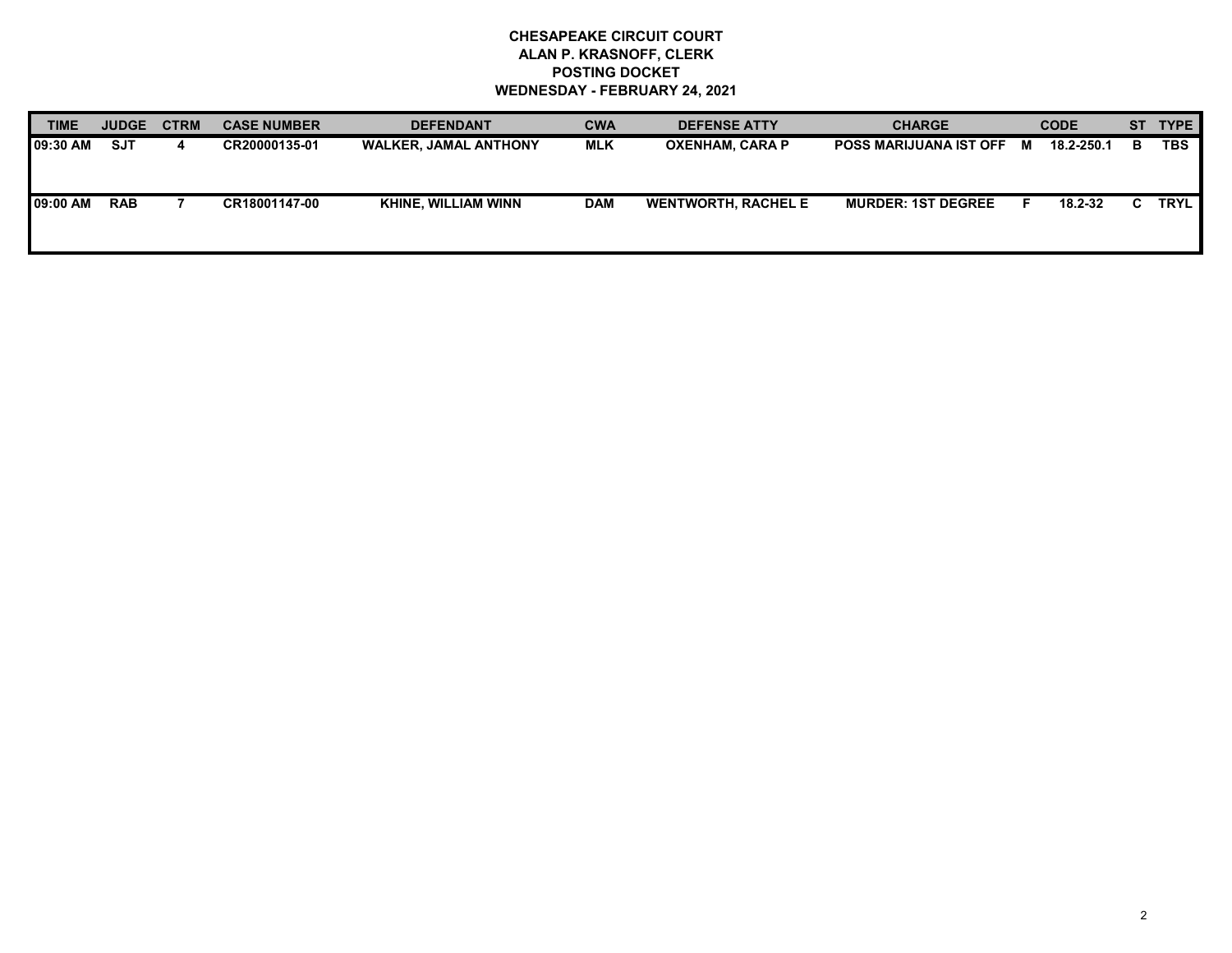# **CHESAPEAKE CIRCUIT COURT ALAN P. KRASNOFF, CLERK POSTING DOCKET WEDNESDAY - FEBRUARY 24, 2021**

| <b>TIME</b> | <b>JUDGE</b> | <b>CTRM</b> | <b>CASE NUMBER</b> | <b>DEFENDANT</b>             | <b>CWA</b> | <b>DEFENSE ATTY</b>        | <b>CHARGE</b>                 |   | <b>CODE</b> |   | ST TYPE     |
|-------------|--------------|-------------|--------------------|------------------------------|------------|----------------------------|-------------------------------|---|-------------|---|-------------|
| 09:30 AM    | <b>SJT</b>   | 4           | CR20000135-01      | <b>WALKER, JAMAL ANTHONY</b> | MLK        | <b>OXENHAM, CARA P</b>     | <b>POSS MARIJUANA IST OFF</b> | M | 18.2-250.1  | в | <b>TBS</b>  |
| 09:00 AM    | <b>RAB</b>   |             | CR18001147-00      | <b>KHINE, WILLIAM WINN</b>   | <b>DAM</b> | <b>WENTWORTH, RACHEL E</b> | <b>MURDER: 1ST DEGREE</b>     |   | 18.2-32     |   | <b>TRYL</b> |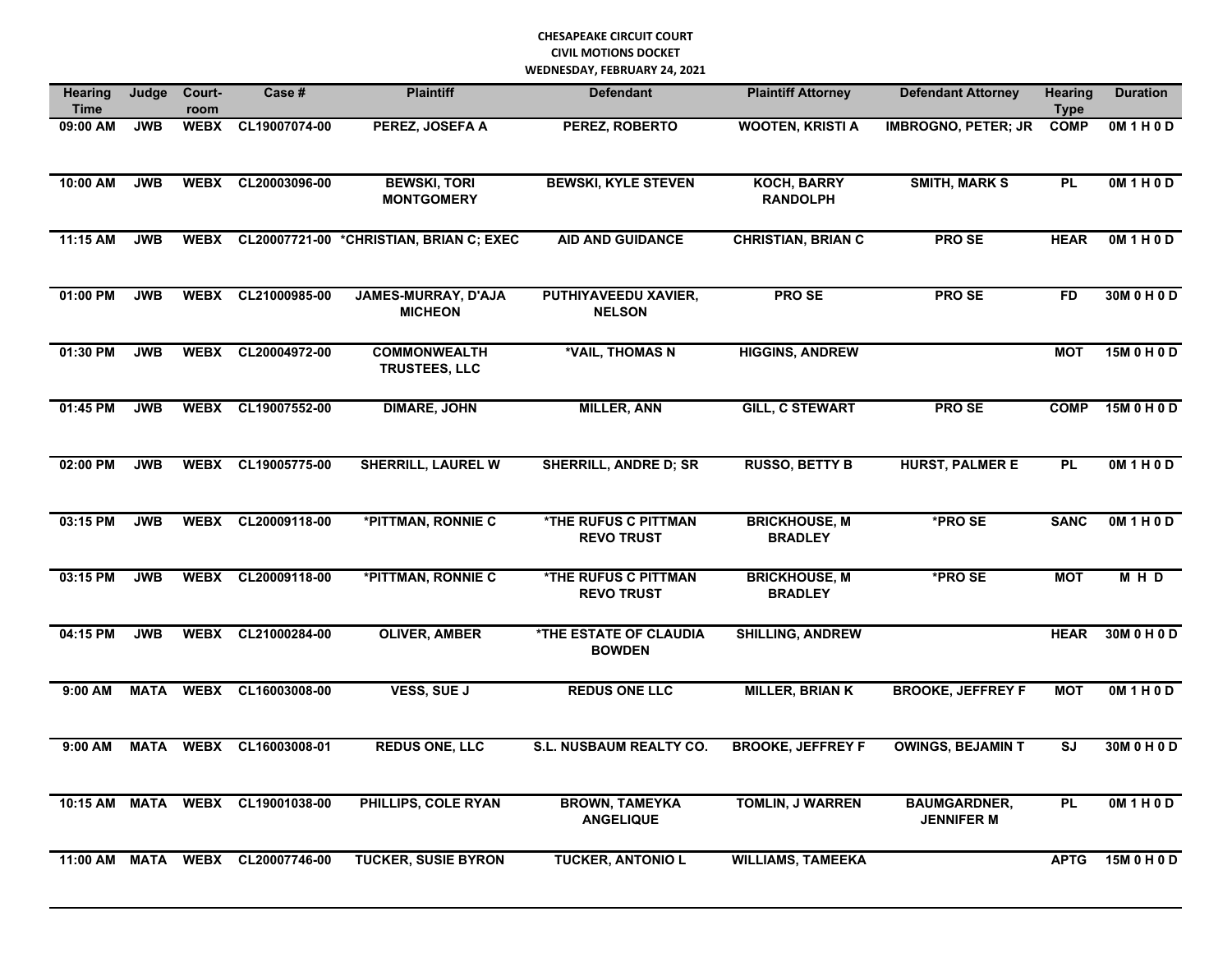| <b>Hearing</b><br><b>Time</b> | Judge       | Court-<br>room | Case #             | <b>Plaintiff</b>                             | <b>Defendant</b>                                      | <b>Plaintiff Attorney</b>              | <b>Defendant Attorney</b>                | <b>Hearing</b><br><b>Type</b> | <b>Duration</b>   |
|-------------------------------|-------------|----------------|--------------------|----------------------------------------------|-------------------------------------------------------|----------------------------------------|------------------------------------------|-------------------------------|-------------------|
| 09:00 AM                      | <b>JWB</b>  | <b>WEBX</b>    | CL19007074-00      | PEREZ, JOSEFA A                              | PEREZ, ROBERTO                                        | <b>WOOTEN, KRISTI A</b>                | <b>IMBROGNO, PETER; JR</b>               | <b>COMP</b>                   | <b>OM 1 H 0 D</b> |
| 10:00 AM                      | <b>JWB</b>  | <b>WEBX</b>    | CL20003096-00      | <b>BEWSKI, TORI</b><br><b>MONTGOMERY</b>     | <b>BEWSKI, KYLE STEVEN</b>                            | <b>KOCH, BARRY</b><br><b>RANDOLPH</b>  | <b>SMITH, MARK S</b>                     | <b>PL</b>                     | OM1H0D            |
| 11:15 AM                      | <b>JWB</b>  | <b>WEBX</b>    |                    | CL20007721-00 *CHRISTIAN, BRIAN C; EXEC      | <b>AID AND GUIDANCE</b>                               | <b>CHRISTIAN, BRIAN C</b>              | <b>PROSE</b>                             | <b>HEAR</b>                   | 0M 1 H 0 D        |
| 01:00 PM                      | <b>JWB</b>  | <b>WEBX</b>    | CL21000985-00      | <b>JAMES-MURRAY, D'AJA</b><br><b>MICHEON</b> | PUTHIYAVEEDU XAVIER,<br><b>NELSON</b>                 | <b>PROSE</b>                           | <b>PROSE</b>                             | <b>FD</b>                     | 30M 0 H 0 D       |
| 01:30 PM                      | <b>JWB</b>  | <b>WEBX</b>    | CL20004972-00      | <b>COMMONWEALTH</b><br><b>TRUSTEES, LLC</b>  | *VAIL, THOMAS N                                       | <b>HIGGINS, ANDREW</b>                 |                                          | <b>MOT</b>                    | 15M 0 H 0 D       |
| 01:45 PM                      | <b>JWB</b>  | <b>WEBX</b>    | CL19007552-00      | <b>DIMARE, JOHN</b>                          | <b>MILLER, ANN</b>                                    | <b>GILL, C STEWART</b>                 | <b>PROSE</b>                             | <b>COMP</b>                   | 15M 0 H 0 D       |
| 02:00 PM                      | <b>JWB</b>  |                | WEBX CL19005775-00 | <b>SHERRILL, LAUREL W</b>                    | <b>SHERRILL, ANDRE D; SR</b>                          | <b>RUSSO, BETTY B</b>                  | <b>HURST, PALMER E</b>                   | <b>PL</b>                     | 0M1H0D            |
| 03:15 PM                      | <b>JWB</b>  |                | WEBX CL20009118-00 | *PITTMAN, RONNIE C                           | *THE RUFUS C PITTMAN<br><b>REVO TRUST</b>             | <b>BRICKHOUSE, M</b><br><b>BRADLEY</b> | *PRO SE                                  | <b>SANC</b>                   | 0M1H0D            |
| 03:15 PM                      | <b>JWB</b>  | <b>WEBX</b>    | CL20009118-00      | *PITTMAN, RONNIE C                           | *THE RUFUS C PITTMAN<br><b>REVO TRUST</b>             | <b>BRICKHOUSE, M</b><br><b>BRADLEY</b> | *PRO SE                                  | <b>MOT</b>                    | M H D             |
| 04:15 PM                      | <b>JWB</b>  | <b>WEBX</b>    | CL21000284-00      | <b>OLIVER, AMBER</b>                         | <b><i>*THE ESTATE OF CLAUDIA</i></b><br><b>BOWDEN</b> | <b>SHILLING, ANDREW</b>                |                                          | <b>HEAR</b>                   | 30M 0 H 0 D       |
| $9:00$ AM                     | <b>MATA</b> | <b>WEBX</b>    | CL16003008-00      | VESS, SUE J                                  | <b>REDUS ONE LLC</b>                                  | <b>MILLER, BRIAN K</b>                 | <b>BROOKE, JEFFREY F</b>                 | <b>MOT</b>                    | OM1H0D            |
| 9:00 AM                       | MATA        | <b>WEBX</b>    | CL16003008-01      | <b>REDUS ONE, LLC</b>                        | S.L. NUSBAUM REALTY CO.                               | <b>BROOKE, JEFFREY F</b>               | <b>OWINGS, BEJAMIN T</b>                 | SJ                            | 30M 0 H 0 D       |
| 10:15 AM                      | MATA        |                | WEBX CL19001038-00 | PHILLIPS, COLE RYAN                          | <b>BROWN, TAMEYKA</b><br><b>ANGELIQUE</b>             | <b>TOMLIN, J WARREN</b>                | <b>BAUMGARDNER,</b><br><b>JENNIFER M</b> | <b>PL</b>                     | OM1H0D            |
| 11:00 AM                      | <b>MATA</b> |                | WEBX CL20007746-00 | <b>TUCKER, SUSIE BYRON</b>                   | <b>TUCKER, ANTONIO L</b>                              | <b>WILLIAMS, TAMEEKA</b>               |                                          | <b>APTG</b>                   | 15M 0 H 0 D       |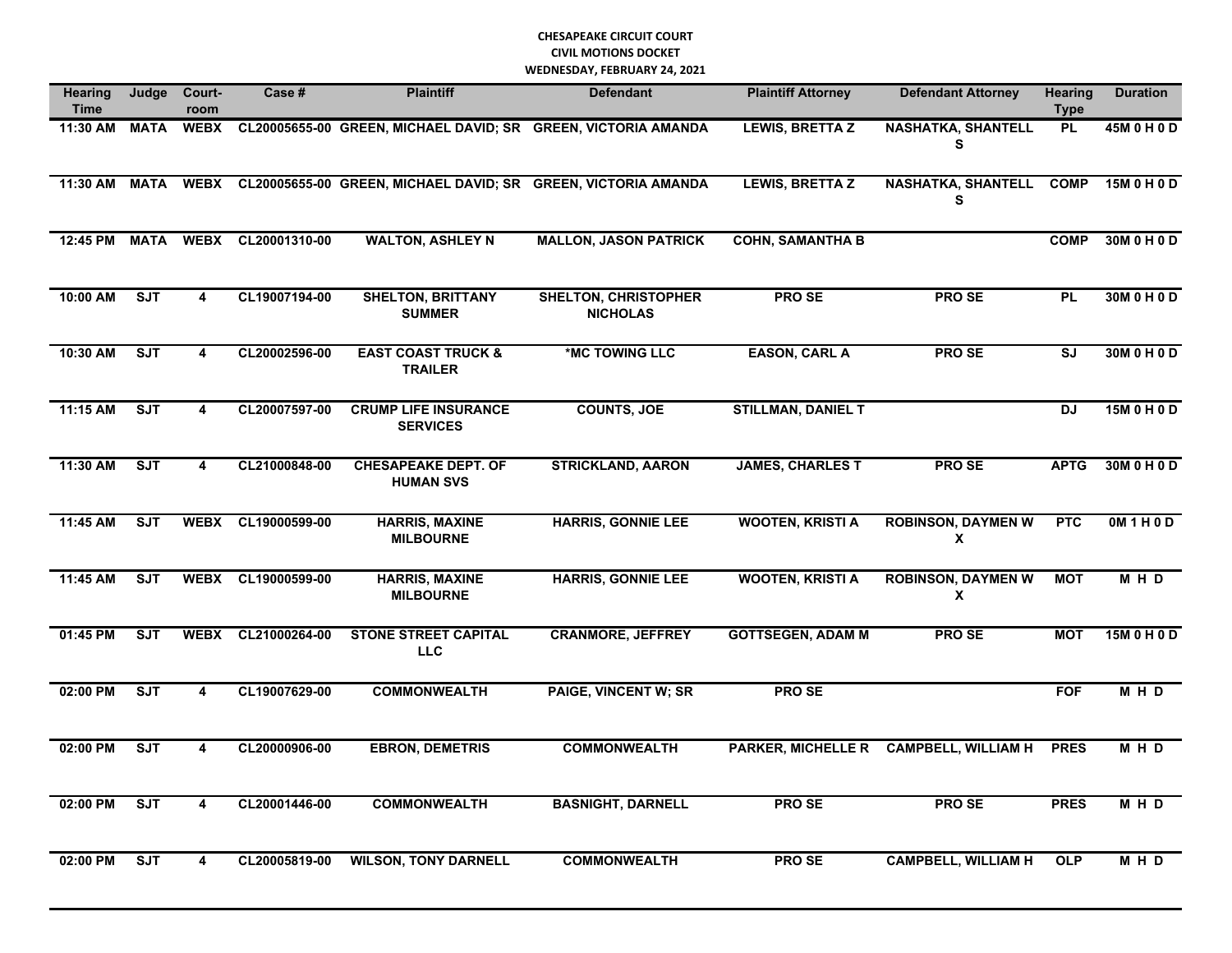| <b>Hearing</b><br><b>Time</b> | Judge       | Court-<br>room          | Case #        | <b>Plaintiff</b>                                              | <b>Defendant</b>                               | <b>Plaintiff Attorney</b> | <b>Defendant Attorney</b>              | <b>Hearing</b><br><b>Type</b> | <b>Duration</b> |
|-------------------------------|-------------|-------------------------|---------------|---------------------------------------------------------------|------------------------------------------------|---------------------------|----------------------------------------|-------------------------------|-----------------|
| 11:30 AM                      | <b>MATA</b> | <b>WEBX</b>             |               | CL20005655-00 GREEN, MICHAEL DAVID; SR GREEN, VICTORIA AMANDA |                                                | <b>LEWIS, BRETTA Z</b>    | <b>NASHATKA, SHANTELL</b><br>S         | <b>PL</b>                     | 45M 0 H 0 D     |
| 11:30 AM                      | MATA        | <b>WEBX</b>             |               | CL20005655-00 GREEN, MICHAEL DAVID; SR GREEN, VICTORIA AMANDA |                                                | <b>LEWIS, BRETTA Z</b>    | <b>NASHATKA, SHANTELL</b><br>S         | <b>COMP</b>                   | 15M 0 H 0 D     |
| 12:45 PM                      | <b>MATA</b> | <b>WEBX</b>             | CL20001310-00 | <b>WALTON, ASHLEY N</b>                                       | <b>MALLON, JASON PATRICK</b>                   | <b>COHN, SAMANTHA B</b>   |                                        | <b>COMP</b>                   | 30M 0 H 0 D     |
| 10:00 AM                      | <b>SJT</b>  | $\overline{\mathbf{4}}$ | CL19007194-00 | <b>SHELTON, BRITTANY</b><br><b>SUMMER</b>                     | <b>SHELTON, CHRISTOPHER</b><br><b>NICHOLAS</b> | <b>PROSE</b>              | <b>PROSE</b>                           | <b>PL</b>                     | 30M 0 H 0 D     |
| 10:30 AM                      | ST          | $\overline{\mathbf{4}}$ | CL20002596-00 | <b>EAST COAST TRUCK &amp;</b><br><b>TRAILER</b>               | *MC TOWING LLC                                 | <b>EASON, CARL A</b>      | <b>PROSE</b>                           | SJ                            | 30M 0 H 0 D     |
| 11:15 AM                      | <b>SJT</b>  | 4                       | CL20007597-00 | <b>CRUMP LIFE INSURANCE</b><br><b>SERVICES</b>                | <b>COUNTS, JOE</b>                             | <b>STILLMAN, DANIEL T</b> |                                        | <b>DJ</b>                     | 15M 0 H 0 D     |
| 11:30 AM                      | ST          | $\overline{\mathbf{4}}$ | CL21000848-00 | <b>CHESAPEAKE DEPT. OF</b><br><b>HUMAN SVS</b>                | <b>STRICKLAND, AARON</b>                       | <b>JAMES, CHARLES T</b>   | <b>PROSE</b>                           | <b>APTG</b>                   | 30M 0 H 0 D     |
| 11:45 AM                      | SJT         | <b>WEBX</b>             | CL19000599-00 | <b>HARRIS, MAXINE</b><br><b>MILBOURNE</b>                     | <b>HARRIS, GONNIE LEE</b>                      | <b>WOOTEN, KRISTI A</b>   | <b>ROBINSON, DAYMEN W</b><br>X         | <b>PTC</b>                    | OM1H0D          |
| 11:45 AM                      | <b>SJT</b>  | <b>WEBX</b>             | CL19000599-00 | <b>HARRIS, MAXINE</b><br><b>MILBOURNE</b>                     | <b>HARRIS, GONNIE LEE</b>                      | <b>WOOTEN, KRISTI A</b>   | <b>ROBINSON, DAYMEN W</b><br>X         | <b>MOT</b>                    | M H D           |
| 01:45 PM                      | ST          | <b>WEBX</b>             | CL21000264-00 | <b>STONE STREET CAPITAL</b><br><b>LLC</b>                     | <b>CRANMORE, JEFFREY</b>                       | <b>GOTTSEGEN, ADAM M</b>  | <b>PROSE</b>                           | <b>MOT</b>                    | 15M 0 H 0 D     |
| 02:00 PM                      | ST          | 4                       | CL19007629-00 | <b>COMMONWEALTH</b>                                           | <b>PAIGE, VINCENT W; SR</b>                    | <b>PROSE</b>              |                                        | <b>FOF</b>                    | M H D           |
| 02:00 PM                      | <b>SJT</b>  | 4                       | CL20000906-00 | <b>EBRON, DEMETRIS</b>                                        | <b>COMMONWEALTH</b>                            |                           | PARKER, MICHELLE R CAMPBELL, WILLIAM H | <b>PRES</b>                   | M H D           |
| 02:00 PM                      | ST          | $\overline{4}$          | CL20001446-00 | <b>COMMONWEALTH</b>                                           | <b>BASNIGHT, DARNELL</b>                       | <b>PROSE</b>              | <b>PROSE</b>                           | <b>PRES</b>                   | M H D           |
| 02:00 PM                      | <b>SJT</b>  | 4                       | CL20005819-00 | <b>WILSON, TONY DARNELL</b>                                   | <b>COMMONWEALTH</b>                            | <b>PROSE</b>              | <b>CAMPBELL, WILLIAM H</b>             | <b>OLP</b>                    | M H D           |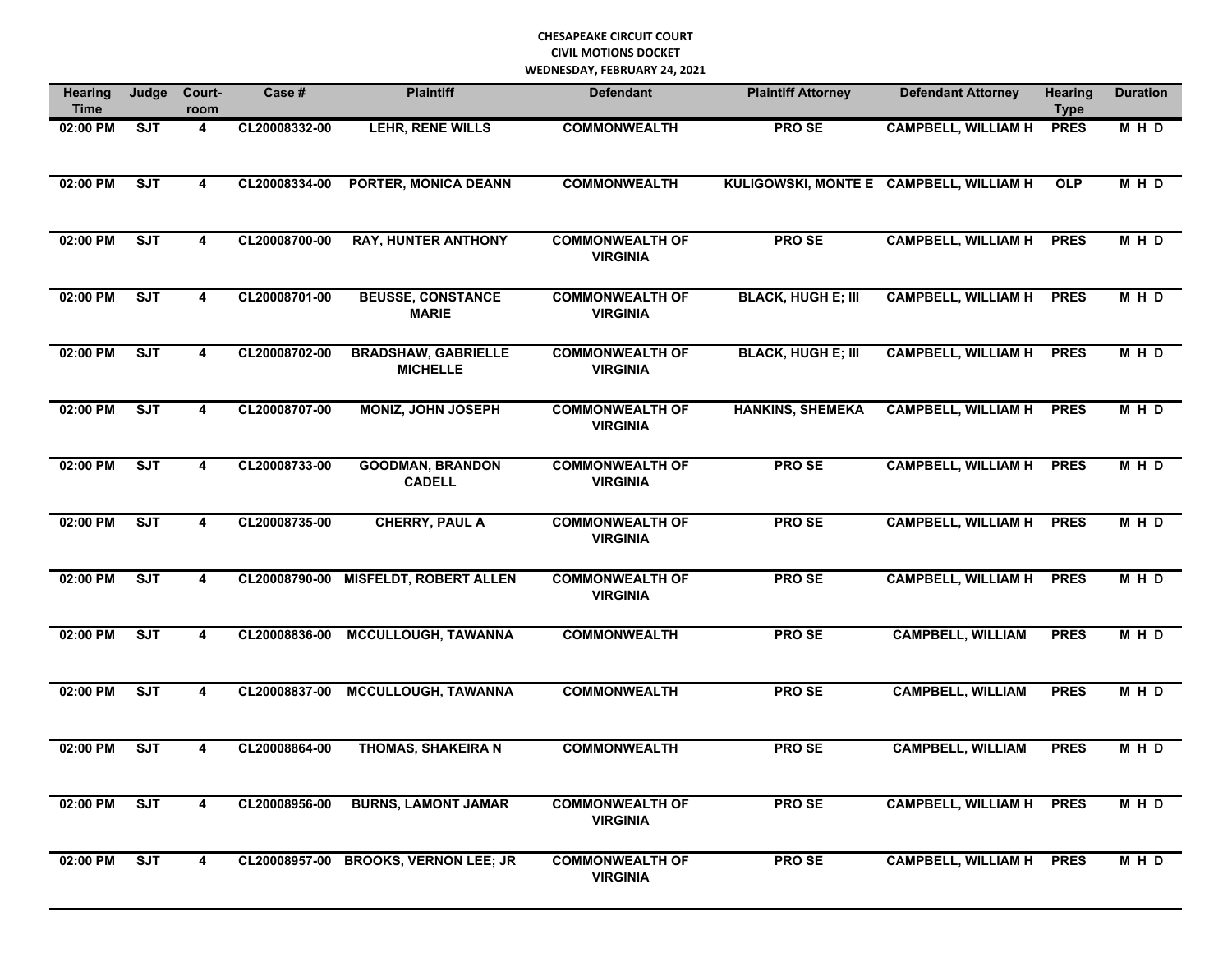| <b>Hearing</b><br><b>Time</b> | Judge      | Court-<br>room          | Case #        | <b>Plaintiff</b>                              | <b>Defendant</b>                          | <b>Plaintiff Attorney</b>               | <b>Defendant Attorney</b>       | <b>Hearing</b><br><b>Type</b> | <b>Duration</b> |
|-------------------------------|------------|-------------------------|---------------|-----------------------------------------------|-------------------------------------------|-----------------------------------------|---------------------------------|-------------------------------|-----------------|
| 02:00 PM                      | <b>SJT</b> | 4                       | CL20008332-00 | LEHR, RENE WILLS                              | <b>COMMONWEALTH</b>                       | <b>PROSE</b>                            | <b>CAMPBELL, WILLIAM H</b>      | <b>PRES</b>                   | MHD             |
| 02:00 PM                      | ST         | 4                       | CL20008334-00 | PORTER, MONICA DEANN                          | <b>COMMONWEALTH</b>                       | KULIGOWSKI, MONTE E CAMPBELL, WILLIAM H |                                 | <b>OLP</b>                    | MHD             |
| 02:00 PM                      | SJT        | 4                       | CL20008700-00 | <b>RAY, HUNTER ANTHONY</b>                    | <b>COMMONWEALTH OF</b><br><b>VIRGINIA</b> | PRO SE                                  | <b>CAMPBELL, WILLIAM H</b>      | <b>PRES</b>                   | MHD             |
| 02:00 PM                      | SJT        | 4                       | CL20008701-00 | <b>BEUSSE, CONSTANCE</b><br><b>MARIE</b>      | <b>COMMONWEALTH OF</b><br><b>VIRGINIA</b> | <b>BLACK, HUGH E; III</b>               | <b>CAMPBELL, WILLIAM H</b>      | <b>PRES</b>                   | MHD             |
| 02:00 PM                      | SJT        | 4                       | CL20008702-00 | <b>BRADSHAW, GABRIELLE</b><br><b>MICHELLE</b> | <b>COMMONWEALTH OF</b><br><b>VIRGINIA</b> | <b>BLACK, HUGH E; III</b>               | <b>CAMPBELL, WILLIAM H</b>      | <b>PRES</b>                   | MHD             |
| 02:00 PM                      | SJT        | $\overline{\mathbf{4}}$ | CL20008707-00 | <b>MONIZ, JOHN JOSEPH</b>                     | <b>COMMONWEALTH OF</b><br><b>VIRGINIA</b> | <b>HANKINS, SHEMEKA</b>                 | <b>CAMPBELL, WILLIAM H</b>      | <b>PRES</b>                   | MHD             |
| 02:00 PM                      | SJT        | 4                       | CL20008733-00 | <b>GOODMAN, BRANDON</b><br><b>CADELL</b>      | <b>COMMONWEALTH OF</b><br><b>VIRGINIA</b> | <b>PROSE</b>                            | <b>CAMPBELL, WILLIAM H</b>      | <b>PRES</b>                   | <b>MHD</b>      |
| 02:00 PM                      | SJT        | 4                       | CL20008735-00 | <b>CHERRY, PAUL A</b>                         | <b>COMMONWEALTH OF</b><br><b>VIRGINIA</b> | <b>PROSE</b>                            | <b>CAMPBELL, WILLIAM H</b>      | <b>PRES</b>                   | <b>MHD</b>      |
| 02:00 PM                      | SJT        | 4                       | CL20008790-00 | <b>MISFELDT, ROBERT ALLEN</b>                 | <b>COMMONWEALTH OF</b><br><b>VIRGINIA</b> | <b>PROSE</b>                            | <b>CAMPBELL, WILLIAM H</b>      | <b>PRES</b>                   | M H D           |
| 02:00 PM                      | <b>SJT</b> | 4                       | CL20008836-00 | <b>MCCULLOUGH, TAWANNA</b>                    | <b>COMMONWEALTH</b>                       | <b>PROSE</b>                            | <b>CAMPBELL, WILLIAM</b>        | <b>PRES</b>                   | M H D           |
| 02:00 PM                      | <b>SJT</b> | 4                       | CL20008837-00 | <b>MCCULLOUGH, TAWANNA</b>                    | <b>COMMONWEALTH</b>                       | <b>PROSE</b>                            | <b>CAMPBELL, WILLIAM</b>        | <b>PRES</b>                   | M H D           |
| 02:00 PM                      | <b>SJT</b> | 4                       | CL20008864-00 | <b>THOMAS, SHAKEIRA N</b>                     | <b>COMMONWEALTH</b>                       | <b>PROSE</b>                            | <b>CAMPBELL, WILLIAM</b>        | <b>PRES</b>                   | M H D           |
| 02:00 PM                      | <b>SJT</b> | 4                       | CL20008956-00 | <b>BURNS, LAMONT JAMAR</b>                    | <b>COMMONWEALTH OF</b><br><b>VIRGINIA</b> | PRO SE                                  | CAMPBELL, WILLIAM H PRES        |                               | M H D           |
| 02:00 PM                      | ST         | $\overline{4}$          |               | CL20008957-00 BROOKS, VERNON LEE; JR          | <b>COMMONWEALTH OF</b><br><b>VIRGINIA</b> | PRO SE                                  | <b>CAMPBELL, WILLIAM H PRES</b> |                               | MHD             |